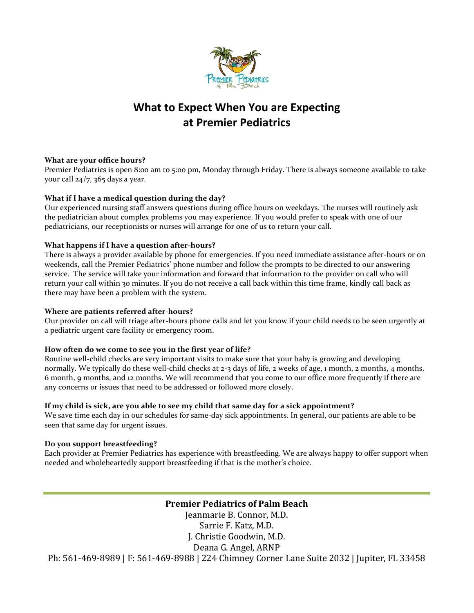

# **What to Expect When You are Expecting at Premier Pediatrics**

#### **What are your office hours?**

Premier Pediatrics is open 8:00 am to 5:00 pm, Monday through Friday. There is always someone available to take your call 24/7, 365 days a year.

# **What if I have a medical question during the day?**

Our experienced nursing staff answers questions during office hours on weekdays. The nurses will routinely ask the pediatrician about complex problems you may experience. If you would prefer to speak with one of our pediatricians, our receptionists or nurses will arrange for one of us to return your call.

#### **What happens if I have a question after-hours?**

There is always a provider available by phone for emergencies. If you need immediate assistance after-hours or on weekends, call the Premier Pediatrics' phone number and follow the prompts to be directed to our answering service. The service will take your information and forward that information to the provider on call who will return your call within 30 minutes. If you do not receive a call back within this time frame, kindly call back as there may have been a problem with the system.

#### **Where are patients referred after-hours?**

Our provider on call will triage after-hours phone calls and let you know if your child needs to be seen urgently at a pediatric urgent care facility or emergency room.

# **How often do we come to see you in the first year of life?**

Routine well-child checks are very important visits to make sure that your baby is growing and developing normally. We typically do these well-child checks at 2-3 days of life, 2 weeks of age, 1 month, 2 months, 4 months, 6 month, 9 months, and 12 months. We will recommend that you come to our office more frequently if there are any concerns or issues that need to be addressed or followed more closely.

#### **If my child is sick, are you able to see my child that same day for a sick appointment?**

We save time each day in our schedules for same-day sick appointments. In general, our patients are able to be seen that same day for urgent issues.

# **Do you support breastfeeding?**

Each provider at Premier Pediatrics has experience with breastfeeding. We are always happy to offer support when needed and wholeheartedly support breastfeeding if that is the mother's choice.

**Premier Pediatrics of Palm Beach**

Jeanmarie B. Connor, M.D. Sarrie F. Katz, M.D. J. Christie Goodwin, M.D. Deana G. Angel, ARNP Ph: 561-469-8989 | F: 561-469-8988 | 224 Chimney Corner Lane Suite 2032 | Jupiter, FL 33458